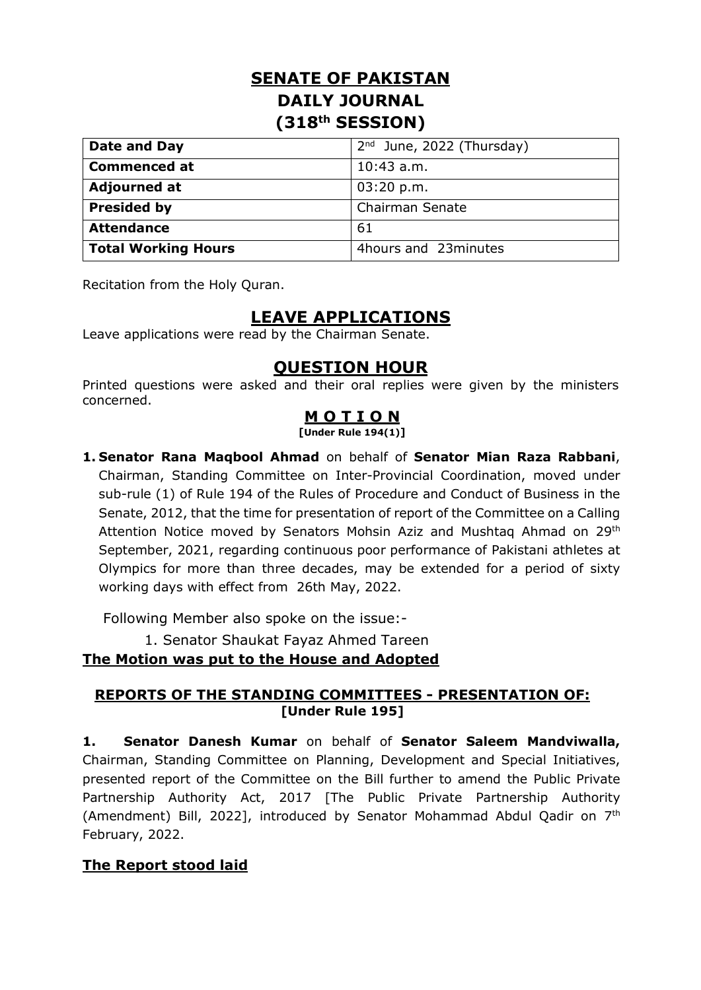# **SENATE OF PAKISTAN DAILY JOURNAL (318th SESSION)**

| Date and Day               | $2nd$ June, 2022 (Thursday) |
|----------------------------|-----------------------------|
| <b>Commenced at</b>        | $10:43$ a.m.                |
| <b>Adjourned at</b>        | 03:20 p.m.                  |
| <b>Presided by</b>         | Chairman Senate             |
| <b>Attendance</b>          | 61                          |
| <b>Total Working Hours</b> | 4hours and 23minutes        |

Recitation from the Holy Quran.

# **LEAVE APPLICATIONS**

Leave applications were read by the Chairman Senate.

## **QUESTION HOUR**

Printed questions were asked and their oral replies were given by the ministers concerned.

### **M O T I O N**

**[Under Rule 194(1)]**

**1. Senator Rana Maqbool Ahmad** on behalf of **Senator Mian Raza Rabbani**, Chairman, Standing Committee on Inter-Provincial Coordination, moved under sub-rule (1) of Rule 194 of the Rules of Procedure and Conduct of Business in the Senate, 2012, that the time for presentation of report of the Committee on a Calling Attention Notice moved by Senators Mohsin Aziz and Mushtaq Ahmad on 29<sup>th</sup> September, 2021, regarding continuous poor performance of Pakistani athletes at Olympics for more than three decades, may be extended for a period of sixty working days with effect from 26th May, 2022.

Following Member also spoke on the issue:-

1. Senator Shaukat Fayaz Ahmed Tareen

### **The Motion was put to the House and Adopted**

#### **REPORTS OF THE STANDING COMMITTEES - PRESENTATION OF: [Under Rule 195]**

**1. Senator Danesh Kumar** on behalf of **Senator Saleem Mandviwalla,**  Chairman, Standing Committee on Planning, Development and Special Initiatives, presented report of the Committee on the Bill further to amend the Public Private Partnership Authority Act, 2017 [The Public Private Partnership Authority (Amendment) Bill, 2022], introduced by Senator Mohammad Abdul Qadir on 7<sup>th</sup> February, 2022.

### **The Report stood laid**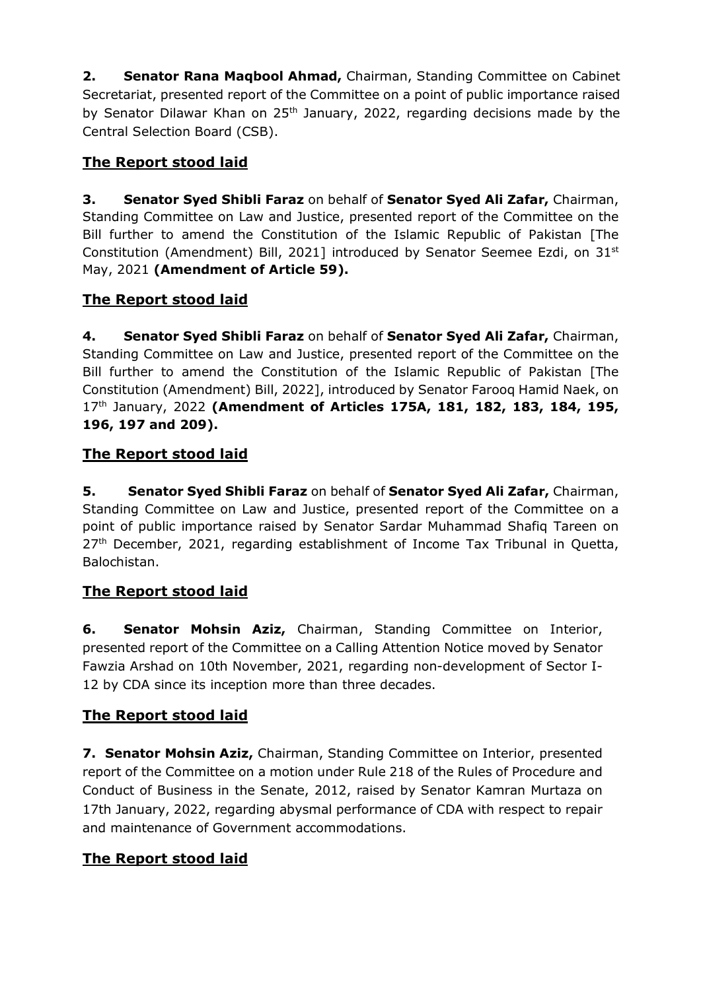**2. Senator Rana Maqbool Ahmad,** Chairman, Standing Committee on Cabinet Secretariat, presented report of the Committee on a point of public importance raised by Senator Dilawar Khan on 25<sup>th</sup> January, 2022, regarding decisions made by the Central Selection Board (CSB).

## **The Report stood laid**

**3. Senator Syed Shibli Faraz** on behalf of **Senator Syed Ali Zafar,** Chairman, Standing Committee on Law and Justice, presented report of the Committee on the Bill further to amend the Constitution of the Islamic Republic of Pakistan [The Constitution (Amendment) Bill, 2021] introduced by Senator Seemee Ezdi, on 31st May, 2021 **(Amendment of Article 59).**

### **The Report stood laid**

**4. Senator Syed Shibli Faraz** on behalf of **Senator Syed Ali Zafar,** Chairman, Standing Committee on Law and Justice, presented report of the Committee on the Bill further to amend the Constitution of the Islamic Republic of Pakistan [The Constitution (Amendment) Bill, 2022], introduced by Senator Farooq Hamid Naek, on 17th January, 2022 **(Amendment of Articles 175A, 181, 182, 183, 184, 195, 196, 197 and 209).**

### **The Report stood laid**

**5. Senator Syed Shibli Faraz** on behalf of **Senator Syed Ali Zafar,** Chairman, Standing Committee on Law and Justice, presented report of the Committee on a point of public importance raised by Senator Sardar Muhammad Shafiq Tareen on  $27<sup>th</sup>$  December, 2021, regarding establishment of Income Tax Tribunal in Quetta, Balochistan.

## **The Report stood laid**

**6. Senator Mohsin Aziz,** Chairman, Standing Committee on Interior, presented report of the Committee on a Calling Attention Notice moved by Senator Fawzia Arshad on 10th November, 2021, regarding non-development of Sector I-12 by CDA since its inception more than three decades.

## **The Report stood laid**

**7. Senator Mohsin Aziz,** Chairman, Standing Committee on Interior, presented report of the Committee on a motion under Rule 218 of the Rules of Procedure and Conduct of Business in the Senate, 2012, raised by Senator Kamran Murtaza on 17th January, 2022, regarding abysmal performance of CDA with respect to repair and maintenance of Government accommodations.

### **The Report stood laid**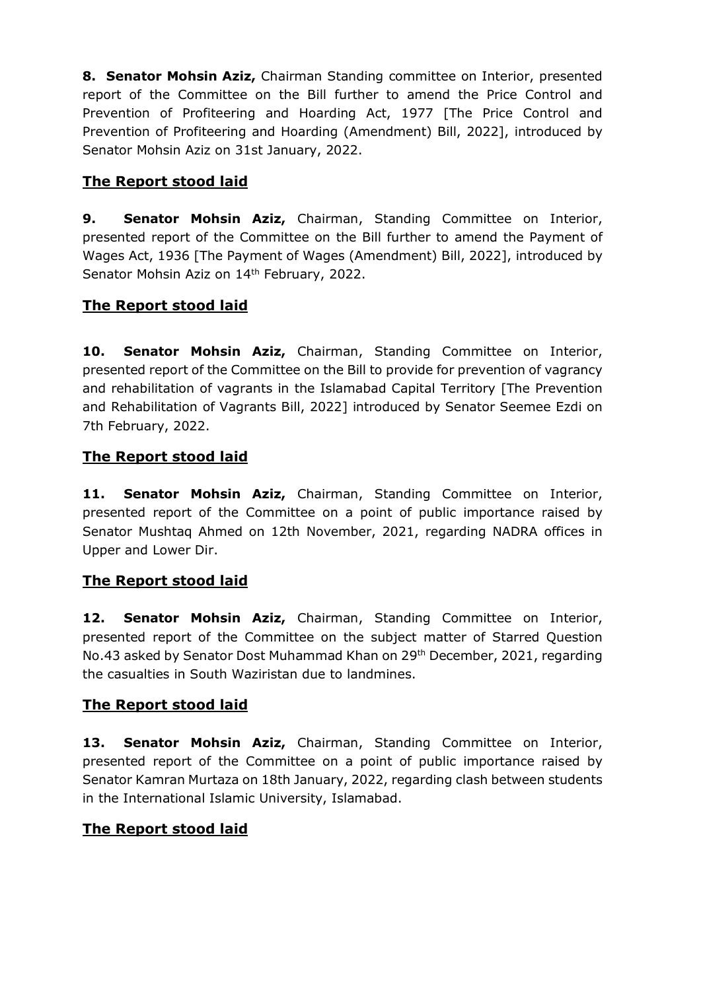**8. Senator Mohsin Aziz,** Chairman Standing committee on Interior, presented report of the Committee on the Bill further to amend the Price Control and Prevention of Profiteering and Hoarding Act, 1977 [The Price Control and Prevention of Profiteering and Hoarding (Amendment) Bill, 2022], introduced by Senator Mohsin Aziz on 31st January, 2022.

#### **The Report stood laid**

**9. Senator Mohsin Aziz,** Chairman, Standing Committee on Interior, presented report of the Committee on the Bill further to amend the Payment of Wages Act, 1936 [The Payment of Wages (Amendment) Bill, 2022], introduced by Senator Mohsin Aziz on 14<sup>th</sup> February, 2022.

### **The Report stood laid**

**10. Senator Mohsin Aziz,** Chairman, Standing Committee on Interior, presented report of the Committee on the Bill to provide for prevention of vagrancy and rehabilitation of vagrants in the Islamabad Capital Territory [The Prevention and Rehabilitation of Vagrants Bill, 2022] introduced by Senator Seemee Ezdi on 7th February, 2022.

### **The Report stood laid**

**11. Senator Mohsin Aziz,** Chairman, Standing Committee on Interior, presented report of the Committee on a point of public importance raised by Senator Mushtaq Ahmed on 12th November, 2021, regarding NADRA offices in Upper and Lower Dir.

### **The Report stood laid**

**12. Senator Mohsin Aziz,** Chairman, Standing Committee on Interior, presented report of the Committee on the subject matter of Starred Question No.43 asked by Senator Dost Muhammad Khan on 29<sup>th</sup> December, 2021, regarding the casualties in South Waziristan due to landmines.

### **The Report stood laid**

**13. Senator Mohsin Aziz,** Chairman, Standing Committee on Interior, presented report of the Committee on a point of public importance raised by Senator Kamran Murtaza on 18th January, 2022, regarding clash between students in the International Islamic University, Islamabad.

#### **The Report stood laid**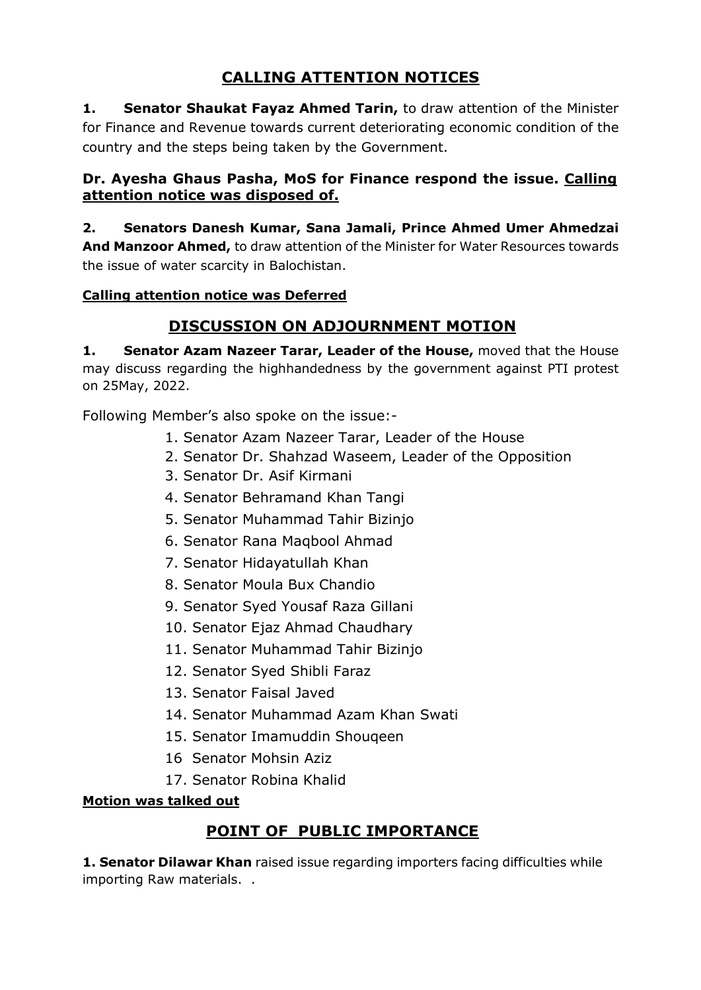# **CALLING ATTENTION NOTICES**

**1. Senator Shaukat Fayaz Ahmed Tarin,** to draw attention of the Minister for Finance and Revenue towards current deteriorating economic condition of the country and the steps being taken by the Government.

#### **Dr. Ayesha Ghaus Pasha, MoS for Finance respond the issue. Calling attention notice was disposed of.**

**2. Senators Danesh Kumar, Sana Jamali, Prince Ahmed Umer Ahmedzai And Manzoor Ahmed,** to draw attention of the Minister for Water Resources towards the issue of water scarcity in Balochistan.

#### **Calling attention notice was Deferred**

## **DISCUSSION ON ADJOURNMENT MOTION**

**1. Senator Azam Nazeer Tarar, Leader of the House,** moved that the House may discuss regarding the highhandedness by the government against PTI protest on 25May, 2022.

Following Member's also spoke on the issue:-

- 1. Senator Azam Nazeer Tarar, Leader of the House
- 2. Senator Dr. Shahzad Waseem, Leader of the Opposition
- 3. Senator Dr. Asif Kirmani
- 4. Senator Behramand Khan Tangi
- 5. Senator Muhammad Tahir Bizinjo
- 6. Senator Rana Maqbool Ahmad
- 7. Senator Hidayatullah Khan
- 8. Senator Moula Bux Chandio
- 9. Senator Syed Yousaf Raza Gillani
- 10. Senator Ejaz Ahmad Chaudhary
- 11. Senator Muhammad Tahir Bizinjo
- 12. Senator Syed Shibli Faraz
- 13. Senator Faisal Javed
- 14. Senator Muhammad Azam Khan Swati
- 15. Senator Imamuddin Shouqeen
- 16 Senator Mohsin Aziz
- 17. Senator Robina Khalid

#### **Motion was talked out**

## **POINT OF PUBLIC IMPORTANCE**

**1. Senator Dilawar Khan** raised issue regarding importers facing difficulties while importing Raw materials. .